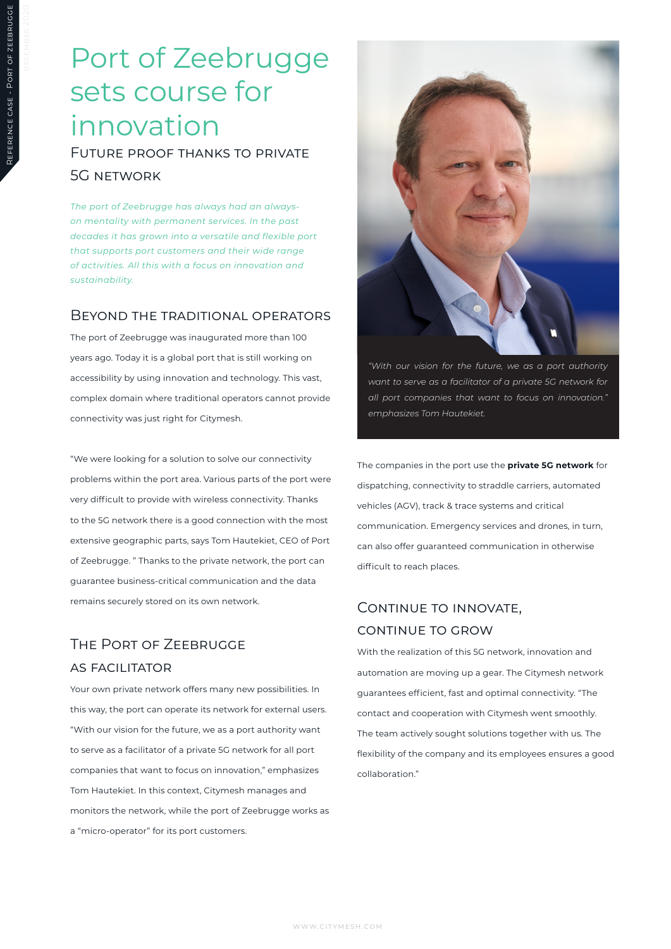# Port of Zeebrugge sets course for innovation

Future proof thanks to private 5G network

*The port of Zeebrugge has always had an alwayson mentality with permanent services. In the past decades it has grown into a versatile and flexible port that supports port customers and their wide range of activities. All this with a focus on innovation and sustainability.*

#### Beyond the traditional operators

The port of Zeebrugge was inaugurated more than 100 years ago. Today it is a global port that is still working on accessibility by using innovation and technology. This vast, complex domain where traditional operators cannot provide connectivity was just right for Citymesh.

"We were looking for a solution to solve our connectivity problems within the port area. Various parts of the port were very difficult to provide with wireless connectivity. Thanks to the 5G network there is a good connection with the most extensive geographic parts, says Tom Hautekiet, CEO of Port of Zeebrugge. " Thanks to the private network, the port can guarantee business-critical communication and the data remains securely stored on its own network.

## The Port of Zeebrugge as facilitator

Your own private network offers many new possibilities. In this way, the port can operate its network for external users. "With our vision for the future, we as a port authority want to serve as a facilitator of a private 5G network for all port companies that want to focus on innovation," emphasizes Tom Hautekiet. In this context, Citymesh manages and monitors the network, while the port of Zeebrugge works as a "micro-operator" for its port customers.



*"With our vision for the future, we as a port authority want to serve as a facilitator of a private 5G network for all port companies that want to focus on innovation." emphasizes Tom Hautekiet.*

The companies in the port use the **private 5G network** for dispatching, connectivity to straddle carriers, automated vehicles (AGV), track & trace systems and critical communication. Emergency services and drones, in turn, can also offer guaranteed communication in otherwise difficult to reach places.

### CONTINUE TO INNOVATE, continue to grow

With the realization of this 5G network, innovation and automation are moving up a gear. The Citymesh network guarantees efficient, fast and optimal connectivity. "The contact and cooperation with Citymesh went smoothly. The team actively sought solutions together with us. The flexibility of the company and its employees ensures a good collaboration."